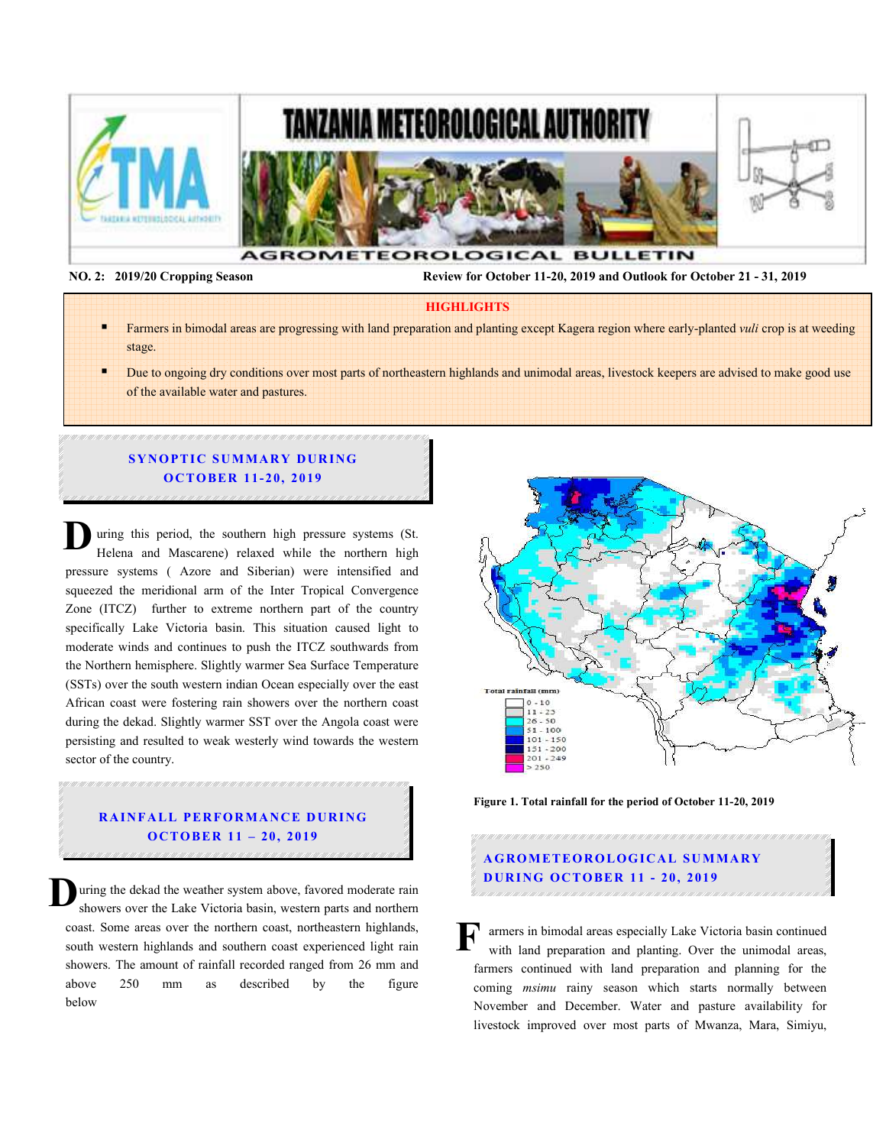

 **NO. 2: 2019/20 Cropping Season Review for October 11-20, 2019 and Outlook for October 21 - 31, 2019** 

#### **HIGHLIGHTS**

- Farmers in bimodal areas are progressing with land preparation and planting except Kagera region where early-planted *vuli* crop is at weeding stage.
- Due to ongoing dry conditions over most parts of northeastern highlands and unimodal areas, livestock keepers are advised to make good use of the available water and pastures.

## **SYNOPTIC SUMMARY DURING OCTOBER 11-20, 2019**

uring this period, the southern high pressure systems (St. Helena and Mascarene) relaxed while the northern high pressure systems ( Azore and Siberian) were intensified and squeezed the meridional arm of the Inter Tropical Convergence Zone (ITCZ) further to extreme northern part of the country specifically Lake Victoria basin. This situation caused light to moderate winds and continues to push the ITCZ southwards from the Northern hemisphere. Slightly warmer Sea Surface Temperature (SSTs) over the south western indian Ocean especially over the east African coast were fostering rain showers over the northern coast during the dekad. Slightly warmer SST over the Angola coast were persisting and resulted to weak westerly wind towards the western sector of the country. **D**

# **RAINFALL PERFORMANCE DURING O C TO BER 11 – 20, 2019**

.<br>1997. ISBN 2007.2007. ISBN 2007. ISBN 2007.2007. ISBN 2007. ISBN 2007. ISBN 2007.

uring the dekad the weather system above, favored moderate rain showers over the Lake Victoria basin, western parts and northern coast. Some areas over the northern coast, northeastern highlands, south western highlands and southern coast experienced light rain showers. The amount of rainfall recorded ranged from 26 mm and above 250 mm as described by the figure below **D**



**Figure 1. Total rainfall for the period of October 11-20, 2019** 

# **A G RO M ETEO R O LOG ICA L SU M MA RY D UR ING OC TO BER 11 - 20, 2019**

armers in bimodal areas especially Lake Victoria basin continued with land preparation and planting. Over the unimodal areas, farmers continued with land preparation and planning for the coming *msimu* rainy season which starts normally between November and December. Water and pasture availability for livestock improved over most parts of Mwanza, Mara, Simiyu, **F**